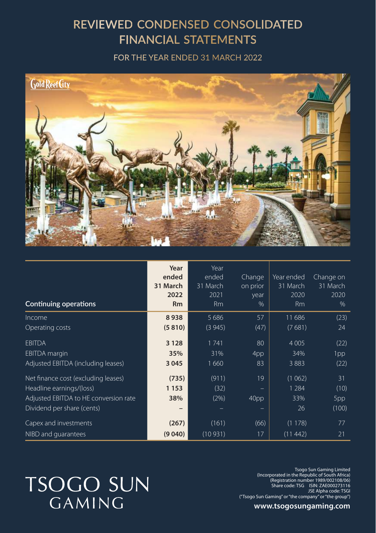## REVIEWED CONDENSED CONSOLIDATED **FINANCIAL STATEMENTS**

FOR THE YEAR ENDED 31 MARCH 2022



| Continuing operations                 | Year<br>ended<br>31 March<br>2022<br><b>Rm</b> | Year<br>ended<br>31 March<br>2021<br><b>Rm</b> | Change<br>on prior<br>year<br>% | Year ended<br>31 March<br>2020<br><b>Rm</b> | Change on<br>31 March<br>2020<br>% |
|---------------------------------------|------------------------------------------------|------------------------------------------------|---------------------------------|---------------------------------------------|------------------------------------|
| Income                                | 8938                                           | 5 6 8 6                                        | 57                              | 11 686                                      | (23)                               |
| Operating costs                       | (5810)                                         | (3945)                                         | (47)                            | (7681)                                      | 24                                 |
| <b>EBITDA</b>                         | 3 1 2 8                                        | 1741                                           | 80                              | 4 0 0 5                                     | (22)                               |
| <b>EBITDA</b> margin                  | 35%                                            | 31%                                            | 4pp                             | 34%                                         | 1pp                                |
| Adjusted EBITDA (including leases)    | 3 0 4 5                                        | 1660                                           | 83                              | 3883                                        | (22)                               |
| Net finance cost (excluding leases)   | (735)                                          | (911)                                          | 19                              | (1062)                                      | $\overline{31}$                    |
| Headline earnings/(loss)              | 1 1 5 3                                        | (32)                                           |                                 | 1 2 8 4                                     | (10)                               |
| Adjusted EBITDA to HE conversion rate | 38%                                            | (2%)                                           | 40pp                            | 33%                                         | 5pp                                |
| Dividend per share (cents)            |                                                |                                                |                                 | 26                                          | (100)                              |
| Capex and investments                 | (267)                                          | (161)                                          | (66)                            | (1178)                                      | 77                                 |
| NIBD and quarantees                   | (9040)                                         | (10931)                                        | 17                              | (11 442)                                    | 21                                 |

# **TSOGO SUN GAMING**

Tsogo Sun Gaming Limited<br>(Incorporated in the Republic of South Africa)<br>Registration number 1989/002108/06)<br>Share code: TSG ISIN: ZAE000273116 JSE Alpha code: TSGI ("Tsogo Sun Gaming" or "the company" or "the group")

**www.tsogosungaming.com**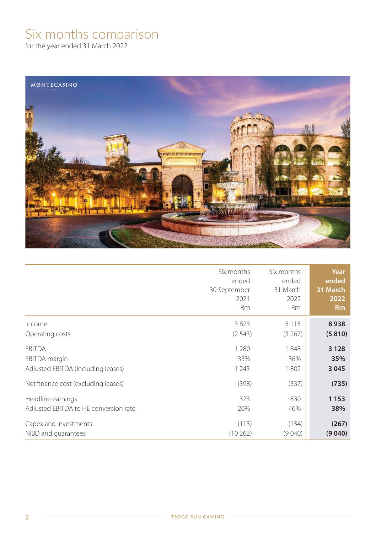## Six months comparison

for the year ended 31 March 2022



|                                       | Six months<br>ended<br>30 September<br>2021<br><b>Rm</b> | Six months<br>ended<br>31 March<br>2022<br><b>Rm</b> | Year<br>ended<br>31 March<br>2022<br><b>Rm</b> |
|---------------------------------------|----------------------------------------------------------|------------------------------------------------------|------------------------------------------------|
| Income                                | 3823<br>(2543)                                           | 5 1 1 5<br>(3267)                                    | 8938<br>(5810)                                 |
| Operating costs                       |                                                          |                                                      |                                                |
| <b>EBITDA</b>                         | 1 2 8 0                                                  | 1848                                                 | 3 1 2 8                                        |
| EBITDA margin                         | 33%                                                      | 36%                                                  | 35%                                            |
| Adjusted EBITDA (including leases)    | 1 2 4 3                                                  | 1802                                                 | 3 0 4 5                                        |
| Net finance cost (excluding leases)   | (398)                                                    | (337)                                                | (735)                                          |
| Headline earnings                     | 323                                                      | 830                                                  | 1153                                           |
| Adjusted EBITDA to HE conversion rate | 26%                                                      | 46%                                                  | 38%                                            |
| Capex and investments                 | (113)                                                    | (154)                                                | (267)                                          |
| NIBD and quarantees                   | (10262)                                                  | (9040)                                               | (9040)                                         |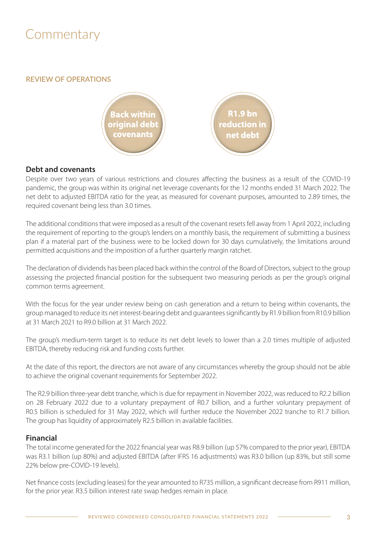## **Commentary**

**REVIEW OF OPERATIONS**



### **Debt and covenants**

Despite over two years of various restrictions and closures affecting the business as a result of the COVID-19 pandemic, the group was within its original net leverage covenants for the 12 months ended 31 March 2022. The net debt to adjusted EBITDA ratio for the year, as measured for covenant purposes, amounted to 2.89 times, the required covenant being less than 3.0 times.

The additional conditions that were imposed as a result of the covenant resets fell away from 1 April 2022, including the requirement of reporting to the group's lenders on a monthly basis, the requirement of submitting a business plan if a material part of the business were to be locked down for 30 days cumulatively, the limitations around permitted acquisitions and the imposition of a further quarterly margin ratchet.

The declaration of dividends has been placed back within the control of the Board of Directors, subject to the group assessing the projected financial position for the subsequent two measuring periods as per the group's original common terms agreement.

With the focus for the year under review being on cash generation and a return to being within covenants, the group managed to reduce its net interest-bearing debt and guarantees significantly by R1.9 billion from R10.9 billion at 31 March 2021 to R9.0 billion at 31 March 2022.

The group's medium-term target is to reduce its net debt levels to lower than a 2.0 times multiple of adjusted EBITDA, thereby reducing risk and funding costs further.

At the date of this report, the directors are not aware of any circumstances whereby the group should not be able to achieve the original covenant requirements for September 2022.

The R2.9 billion three-year debt tranche, which is due for repayment in November 2022, was reduced to R2.2 billion on 28 February 2022 due to a voluntary prepayment of R0.7 billion, and a further voluntary prepayment of R0.5 billion is scheduled for 31 May 2022, which will further reduce the November 2022 tranche to R1.7 billion. The group has liquidity of approximately R2.5 billion in available facilities.

### **Financial**

The total income generated for the 2022 financial year was R8.9 billion (up 57% compared to the prior year), EBITDA was R3.1 billion (up 80%) and adjusted EBITDA (after IFRS 16 adjustments) was R3.0 billion (up 83%, but still some 22% below pre-COVID-19 levels).

Net finance costs (excluding leases) for the year amounted to R735 million, a significant decrease from R911 million, for the prior year. R3.5 billion interest rate swap hedges remain in place.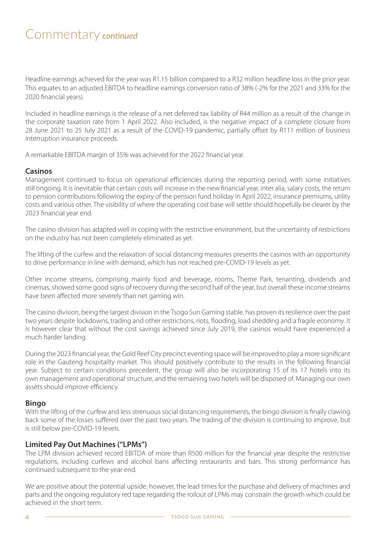## Commentary *continued*

Headline earnings achieved for the year was R1.15 billion compared to a R32 million headline loss in the prior year. This equates to an adjusted EBITDA to headline earnings conversion ratio of 38% (-2% for the 2021 and 33% for the 2020 financial years).

Included in headline earnings is the release of a net deferred tax liability of R44 million as a result of the change in the corporate taxation rate from 1 April 2022. Also included, is the negative impact of a complete closure from 28 June 2021 to 25 July 2021 as a result of the COVID-19 pandemic, partially offset by R111 million of business interruption insurance proceeds.

A remarkable EBITDA margin of 35% was achieved for the 2022 financial year.

### **Casinos**

Management continued to focus on operational efficiencies during the reporting period, with some initiatives still ongoing. It is inevitable that certain costs will increase in the new financial year, inter alia, salary costs, the return to pension contributions following the expiry of the pension fund holiday in April 2022, insurance premiums, utility costs and various other. The visibility of where the operating cost base will settle should hopefully be clearer by the 2023 financial year end.

The casino division has adapted well in coping with the restrictive environment, but the uncertainty of restrictions on the industry has not been completely eliminated as yet.

The lifting of the curfew and the relaxation of social distancing measures presents the casinos with an opportunity to drive performance in line with demand, which has not reached pre-COVID-19 levels as yet.

Other income streams, comprising mainly food and beverage, rooms, Theme Park, tenanting, dividends and cinemas, showed some good signs of recovery during the second half of the year, but overall these income streams have been affected more severely than net gaming win.

The casino division, being the largest division in the Tsogo Sun Gaming stable, has proven its resilience over the past two years despite lockdowns, trading and other restrictions, riots, flooding, load shedding and a fragile economy. It is however clear that without the cost savings achieved since July 2019, the casinos would have experienced a much harder landing.

During the 2023 financial year, the Gold Reef City precinct eventing space will be improved to play a more significant role in the Gauteng hospitality market. This should positively contribute to the results in the following financial year. Subject to certain conditions precedent, the group will also be incorporating 15 of its 17 hotels into its own management and operational structure, and the remaining two hotels will be disposed of. Managing our own assets should improve efficiency.

### **Bingo**

With the lifting of the curfew and less strenuous social distancing requirements, the bingo division is finally clawing back some of the losses suffered over the past two years. The trading of the division is continuing to improve, but is still below pre-COVID-19 levels.

### **Limited Pay Out Machines ("LPMs")**

The LPM division achieved record EBITDA of more than R500 million for the financial year despite the restrictive regulations, including curfews and alcohol bans affecting restaurants and bars. This strong performance has continued subsequent to the year end.

We are positive about the potential upside; however, the lead times for the purchase and delivery of machines and parts and the ongoing regulatory red tape regarding the rollout of LPMs may constrain the growth which could be achieved in the short term.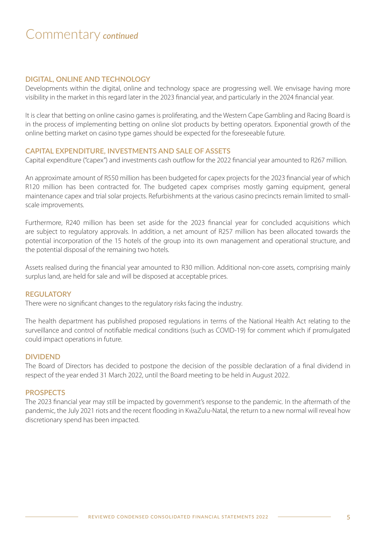## Commentary *continued*

#### **DIGITAL, ONLINE AND TECHNOLOGY**

Developments within the digital, online and technology space are progressing well. We envisage having more visibility in the market in this regard later in the 2023 financial year, and particularly in the 2024 financial year.

It is clear that betting on online casino games is proliferating, and the Western Cape Gambling and Racing Board is in the process of implementing betting on online slot products by betting operators. Exponential growth of the online betting market on casino type games should be expected for the foreseeable future.

#### **CAPITAL EXPENDITURE, INVESTMENTS AND SALE OF ASSETS**

Capital expenditure ("capex") and investments cash outflow for the 2022 financial year amounted to R267 million.

An approximate amount of R550 million has been budgeted for capex projects for the 2023 financial year of which R120 million has been contracted for. The budgeted capex comprises mostly gaming equipment, general maintenance capex and trial solar projects. Refurbishments at the various casino precincts remain limited to smallscale improvements.

Furthermore, R240 million has been set aside for the 2023 financial year for concluded acquisitions which are subject to regulatory approvals. In addition, a net amount of R257 million has been allocated towards the potential incorporation of the 15 hotels of the group into its own management and operational structure, and the potential disposal of the remaining two hotels.

Assets realised during the financial year amounted to R30 million. Additional non-core assets, comprising mainly surplus land, are held for sale and will be disposed at acceptable prices.

#### **REGULATORY**

There were no significant changes to the regulatory risks facing the industry.

The health department has published proposed regulations in terms of the National Health Act relating to the surveillance and control of notifiable medical conditions (such as COVID-19) for comment which if promulgated could impact operations in future.

#### **DIVIDEND**

The Board of Directors has decided to postpone the decision of the possible declaration of a final dividend in respect of the year ended 31 March 2022, until the Board meeting to be held in August 2022.

#### **PROSPECTS**

The 2023 financial year may still be impacted by government's response to the pandemic. In the aftermath of the pandemic, the July 2021 riots and the recent flooding in KwaZulu-Natal, the return to a new normal will reveal how discretionary spend has been impacted.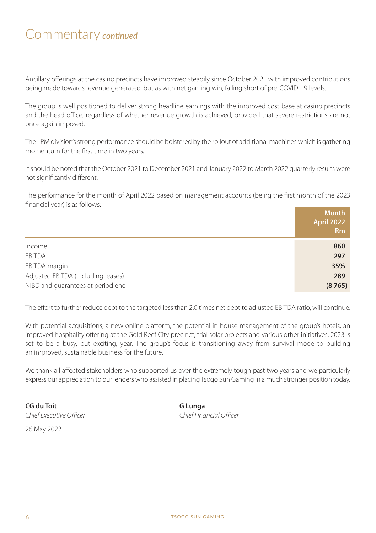## Commentary *continued*

Ancillary offerings at the casino precincts have improved steadily since October 2021 with improved contributions being made towards revenue generated, but as with net gaming win, falling short of pre-COVID-19 levels.

The group is well positioned to deliver strong headline earnings with the improved cost base at casino precincts and the head office, regardless of whether revenue growth is achieved, provided that severe restrictions are not once again imposed.

The LPM division's strong performance should be bolstered by the rollout of additional machines which is gathering momentum for the first time in two years.

It should be noted that the October 2021 to December 2021 and January 2022 to March 2022 quarterly results were not significantly different.

The performance for the month of April 2022 based on management accounts (being the first month of the 2023 financial year) is as follows:

|                                    | <b>Month</b><br><b>April 2022</b><br><b>Rm</b> |
|------------------------------------|------------------------------------------------|
| Income                             | 860                                            |
| <b>EBITDA</b>                      | 297                                            |
| EBITDA margin                      | 35%                                            |
| Adjusted EBITDA (including leases) | 289                                            |
| NIBD and guarantees at period end  | (8765)                                         |

The effort to further reduce debt to the targeted less than 2.0 times net debt to adjusted EBITDA ratio, will continue.

With potential acquisitions, a new online platform, the potential in-house management of the group's hotels, an improved hospitality offering at the Gold Reef City precinct, trial solar projects and various other initiatives, 2023 is set to be a busy, but exciting, year. The group's focus is transitioning away from survival mode to building an improved, sustainable business for the future.

We thank all affected stakeholders who supported us over the extremely tough past two years and we particularly express our appreciation to our lenders who assisted in placing Tsogo Sun Gaming in a much stronger position today.

**CG du Toit**<br>
Chief Executive Officer<br>
Chief Executive Officer Chief Executive Officer

26 May 2022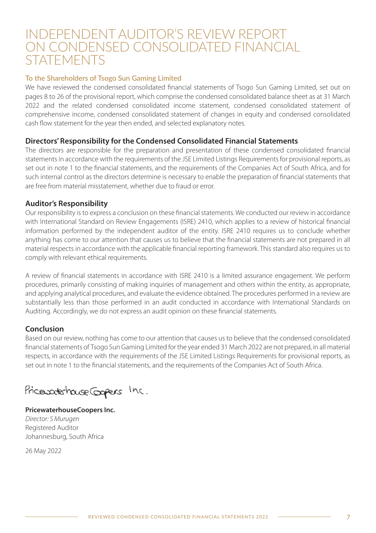## INDEPENDENT AUDITOR'S REVIEW REPORT ON CONDENSED CONSOLIDATED FINANCIAL **STATEMENTS**

#### **To the Shareholders of Tsogo Sun Gaming Limited**

We have reviewed the condensed consolidated financial statements of Tsogo Sun Gaming Limited, set out on pages 8 to 26 of the provisional report, which comprise the condensed consolidated balance sheet as at 31 March 2022 and the related condensed consolidated income statement, condensed consolidated statement of comprehensive income, condensed consolidated statement of changes in equity and condensed consolidated cash flow statement for the year then ended, and selected explanatory notes.

### **Directors' Responsibility for the Condensed Consolidated Financial Statements**

The directors are responsible for the preparation and presentation of these condensed consolidated financial statements in accordance with the requirements of the JSE Limited Listings Requirements for provisional reports, as set out in note 1 to the financial statements, and the requirements of the Companies Act of South Africa, and for such internal control as the directors determine is necessary to enable the preparation of financial statements that are free from material misstatement, whether due to fraud or error.

### **Auditor's Responsibility**

Our responsibility is to express a conclusion on these financial statements. We conducted our review in accordance with International Standard on Review Engagements (ISRE) 2410, which applies to a review of historical financial information performed by the independent auditor of the entity. ISRE 2410 requires us to conclude whether anything has come to our attention that causes us to believe that the financial statements are not prepared in all material respects in accordance with the applicable financial reporting framework. This standard also requires us to comply with relevant ethical requirements.

A review of financial statements in accordance with ISRE 2410 is a limited assurance engagement. We perform procedures, primarily consisting of making inquiries of management and others within the entity, as appropriate, and applying analytical procedures, and evaluate the evidence obtained. The procedures performed in a review are substantially less than those performed in an audit conducted in accordance with International Standards on Auditing. Accordingly, we do not express an audit opinion on these financial statements.

### **Conclusion**

Based on our review, nothing has come to our attention that causes us to believe that the condensed consolidated financial statements of Tsogo Sun Gaming Limited for the year ended 31 March 2022 are not prepared, in all material respects, in accordance with the requirements of the JSE Limited Listings Requirements for provisional reports, as set out in note 1 to the financial statements, and the requirements of the Companies Act of South Africa.

Pricevate house Gogers Inc.

**PricewaterhouseCoopers Inc.** Director: S Murugen Registered Auditor Johannesburg, South Africa

26 May 2022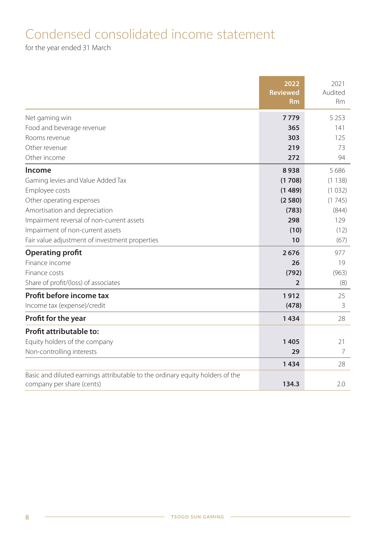## Condensed consolidated income statement

for the year ended 31 March

|                                                                               | 2022<br><b>Reviewed</b><br><b>Rm</b> | 2021<br>Audited<br><b>Rm</b> |
|-------------------------------------------------------------------------------|--------------------------------------|------------------------------|
|                                                                               |                                      |                              |
| Net gaming win                                                                | 7779                                 | 5 2 5 3                      |
| Food and beverage revenue<br>Rooms revenue                                    | 365<br>303                           | 141                          |
| Other revenue                                                                 | 219                                  | 125<br>73                    |
| Other income                                                                  | 272                                  | 94                           |
|                                                                               |                                      |                              |
| Income                                                                        | 8938                                 | 5686                         |
| Gaming levies and Value Added Tax                                             | (1708)                               | (1138)                       |
| Employee costs                                                                | (1489)                               | (1032)                       |
| Other operating expenses                                                      | (2580)                               | (1745)                       |
| Amortisation and depreciation                                                 | (783)                                | (844)                        |
| Impairment reversal of non-current assets                                     | 298                                  | 129                          |
| Impairment of non-current assets                                              | (10)                                 | (12)                         |
| Fair value adjustment of investment properties                                | 10                                   | (67)                         |
| <b>Operating profit</b>                                                       | 2676                                 | 977                          |
| Finance income                                                                | 26                                   | 19                           |
| Finance costs                                                                 | (792)                                | (963)                        |
| Share of profit/(loss) of associates                                          | $\overline{2}$                       | (8)                          |
| Profit before income tax                                                      | 1912                                 | 25                           |
| Income tax (expense)/credit                                                   | (478)                                | 3                            |
| Profit for the year                                                           | 1434                                 | 28                           |
| Profit attributable to:                                                       |                                      |                              |
| Equity holders of the company                                                 | 1405                                 | 21                           |
| Non-controlling interests                                                     | 29                                   | 7                            |
|                                                                               | 1434                                 | 28                           |
| Basic and diluted earnings attributable to the ordinary equity holders of the |                                      |                              |
| company per share (cents)                                                     | 134.3                                | 2.0                          |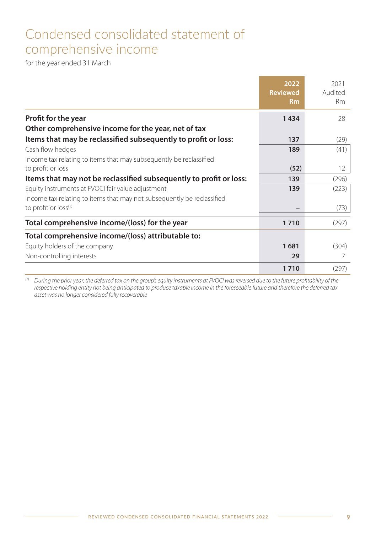## Condensed consolidated statement of comprehensive income

for the year ended 31 March

|                                                                        | 2022<br><b>Reviewed</b><br><b>Rm</b> | 2021<br>Audited<br><b>Rm</b> |
|------------------------------------------------------------------------|--------------------------------------|------------------------------|
| <b>Profit for the year</b>                                             | 1434                                 | 28                           |
| Other comprehensive income for the year, net of tax                    |                                      |                              |
| Items that may be reclassified subsequently to profit or loss:         | 137                                  | (29)                         |
| Cash flow hedges                                                       | 189                                  | (41)                         |
| Income tax relating to items that may subsequently be reclassified     |                                      |                              |
| to profit or loss                                                      | (52)                                 | $12 \overline{ }$            |
| Items that may not be reclassified subsequently to profit or loss:     | 139                                  | (296)                        |
| Equity instruments at FVOCI fair value adjustment                      | 139                                  | (223)                        |
| Income tax relating to items that may not subsequently be reclassified |                                      |                              |
| to profit or loss <sup>(1)</sup>                                       |                                      | (73)                         |
| Total comprehensive income/(loss) for the year                         | 1710                                 | (297)                        |
| Total comprehensive income/(loss) attributable to:                     |                                      |                              |
| Equity holders of the company                                          | 1681                                 | (304)                        |
| Non-controlling interests                                              | 29                                   | 7                            |
|                                                                        | 1710                                 | (297)                        |

 $^\mathrm{(1)}$  During the prior year, the deferred tax on the group's equity instruments at FVOCI was reversed due to the future profitability of the respective holding entity not being anticipated to produce taxable income in the foreseeable future and therefore the deferred tax asset was no longer considered fully recoverable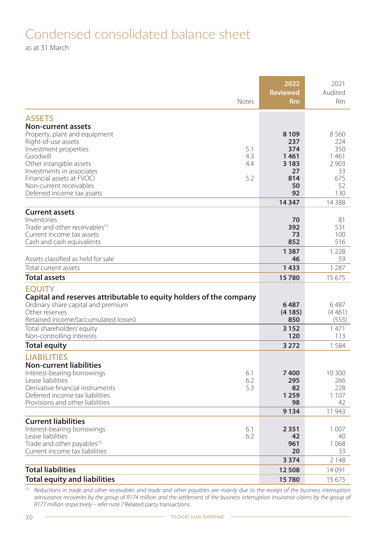## Condensed consolidated balance sheet

as at 31 March

|                                                                                                                                                                                     | 2022                  | 2021                    |
|-------------------------------------------------------------------------------------------------------------------------------------------------------------------------------------|-----------------------|-------------------------|
| <b>Notes</b>                                                                                                                                                                        | <b>Reviewed</b><br>Rm | Audited<br><b>Rm</b>    |
| <b>ASSETS</b>                                                                                                                                                                       |                       |                         |
| <b>Non-current assets</b>                                                                                                                                                           |                       |                         |
| Property, plant and equipment                                                                                                                                                       | 8 1 0 9               | 8560                    |
| Right-of-use assets                                                                                                                                                                 | 237                   | 224                     |
| 5.1<br>Investment properties                                                                                                                                                        | 374                   | 350                     |
| Goodwill<br>4.3<br>Other intangible assets<br>4.4                                                                                                                                   | 1461<br>3 1 8 3       | 1461<br>2903            |
| Investments in associates                                                                                                                                                           | 27                    | 33                      |
| Financial assets at FVOCI<br>5.2                                                                                                                                                    | 814                   | 675                     |
| Non-current receivables                                                                                                                                                             | 50                    | 52                      |
| Deferred income tax assets                                                                                                                                                          | 92                    | 130                     |
|                                                                                                                                                                                     | 14 3 4 7              | 14 3 8 8                |
| <b>Current assets</b>                                                                                                                                                               |                       |                         |
| Inventories                                                                                                                                                                         | 70                    | 81                      |
| Trade and other receivables <sup>(1)</sup>                                                                                                                                          | 392                   | 531                     |
| Current income tax assets                                                                                                                                                           | 73<br>852             | 100                     |
| Cash and cash equivalents                                                                                                                                                           |                       | 516                     |
| Assets classified as held for sale                                                                                                                                                  | 1387<br>46            | 1 2 2 8<br>59           |
| Total current assets                                                                                                                                                                | 1433                  | 1 2 8 7                 |
| <b>Total assets</b>                                                                                                                                                                 | 15780                 | 15 675                  |
| <b>EOUITY</b><br>Capital and reserves attributable to equity holders of the company<br>Ordinary share capital and premium<br>Other reserves<br>Retained income/(accumulated losses) | 6487<br>(4185)<br>850 | 6487<br>(4461)<br>(555) |
| Total shareholders' equity                                                                                                                                                          | 3 1 5 2               | 1471                    |
| Non-controlling interests                                                                                                                                                           | 120                   | 113                     |
| Total equity                                                                                                                                                                        | 3 2 7 2               | 1584                    |
| <b>LIABILITIES</b>                                                                                                                                                                  |                       |                         |
| <b>Non-current liabilities</b><br>6.1                                                                                                                                               | 7400                  |                         |
| Interest-bearing borrowings<br>Lease liabilities<br>6.2                                                                                                                             | 295                   | 10 300<br>266           |
| Derivative financial instruments<br>5.3                                                                                                                                             | 82                    | 228                     |
| Deferred income tax liabilities                                                                                                                                                     | 1 2 5 9               | 1 1 0 7                 |
| Provisions and other liabilities                                                                                                                                                    | 98                    | 42                      |
|                                                                                                                                                                                     | 9 1 3 4               | 11943                   |
| <b>Current liabilities</b>                                                                                                                                                          |                       |                         |
| Interest-bearing borrowings<br>6.1                                                                                                                                                  | 2351                  | 1 0 0 7                 |
| Lease liabilities<br>6.2                                                                                                                                                            | 42                    | 40                      |
| Trade and other payables <sup>(1)</sup><br>Current income tax liabilities                                                                                                           | 961<br>20             | 1068<br>33              |
|                                                                                                                                                                                     | 3 3 7 4               | 2 1 4 8                 |
| <b>Total liabilities</b>                                                                                                                                                            | 12 508                | 14 0 91                 |
| <b>Total equity and liabilities</b>                                                                                                                                                 | 15780                 | 15675                   |
|                                                                                                                                                                                     |                       |                         |

(1) Reductions in trade and other receivables and trade and other payables are mainly due to the receipt of the business interruption reinsurance recoveries by the group of R174 million and the settlement of the business interruption insurance claims by the group of R177 million respectively – refer note 7 Related party transactions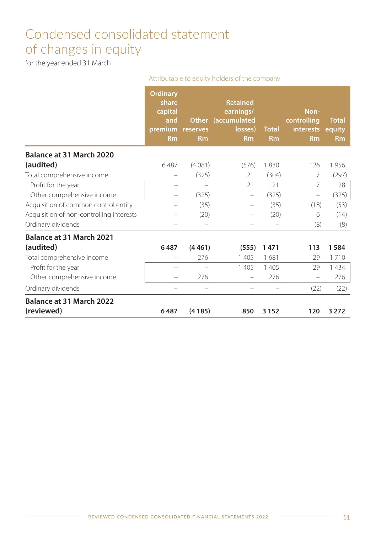## Condensed consolidated statement of changes in equity

for the year ended 31 March

|                                          | Attributable to equity holders of the company                      |                       |                                                                            |                           |                                                      |                                     |  |
|------------------------------------------|--------------------------------------------------------------------|-----------------------|----------------------------------------------------------------------------|---------------------------|------------------------------------------------------|-------------------------------------|--|
|                                          | <b>Ordinary</b><br>share<br>capital<br>and<br>premium<br><b>Rm</b> | reserves<br><b>Rm</b> | <b>Retained</b><br>earnings/<br>Other (accumulated<br>losses)<br><b>Rm</b> | <b>Total</b><br><b>Rm</b> | Non-<br>controlling<br><b>interests</b><br><b>Rm</b> | <b>Total</b><br>equity<br><b>Rm</b> |  |
| Balance at 31 March 2020                 |                                                                    |                       |                                                                            |                           |                                                      |                                     |  |
| (audited)                                | 6487                                                               | (4081)                | (576)                                                                      | 1830                      | 126                                                  | 1956                                |  |
| Total comprehensive income               |                                                                    | (325)                 | 21                                                                         | (304)                     | 7                                                    | (297)                               |  |
| Profit for the year                      |                                                                    |                       | 21                                                                         | 21                        | $\overline{7}$                                       | 28                                  |  |
| Other comprehensive income               |                                                                    | (325)                 |                                                                            | (325)                     | -                                                    | (325)                               |  |
| Acquisition of common control entity     |                                                                    | (35)                  | -                                                                          | (35)                      | (18)                                                 | (53)                                |  |
| Acquisition of non-controlling interests |                                                                    | (20)                  |                                                                            | (20)                      | 6                                                    | (14)                                |  |
| Ordinary dividends                       |                                                                    |                       |                                                                            |                           | (8)                                                  | (8)                                 |  |
| Balance at 31 March 2021                 |                                                                    |                       |                                                                            |                           |                                                      |                                     |  |
| (audited)                                | 6487                                                               | (4461)                | (555)                                                                      | 1471                      | 113                                                  | 1584                                |  |
| Total comprehensive income               |                                                                    | 276                   | 1405                                                                       | 1681                      | 29                                                   | 1710                                |  |
| Profit for the year                      |                                                                    |                       | 1405                                                                       | 1 4 0 5                   | 29                                                   | 1434                                |  |
| Other comprehensive income               |                                                                    | 276                   | $\overline{\phantom{0}}$                                                   | 276                       | $\overline{\phantom{m}}$                             | 276                                 |  |
| Ordinary dividends                       |                                                                    |                       |                                                                            |                           | (22)                                                 | (22)                                |  |
| Balance at 31 March 2022                 |                                                                    |                       |                                                                            |                           |                                                      |                                     |  |
| (reviewed)                               | 6487                                                               | (4185)                | 850                                                                        | 3 1 5 2                   | 120                                                  | 3 2 7 2                             |  |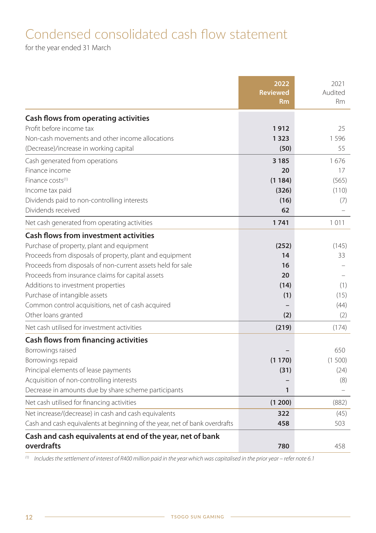## Condensed consolidated cash flow statement

for the year ended 31 March

|                                                                            | 2022<br><b>Reviewed</b> | 2021<br>Audited |
|----------------------------------------------------------------------------|-------------------------|-----------------|
|                                                                            | <b>Rm</b>               | Rm              |
| Cash flows from operating activities                                       |                         |                 |
| Profit before income tax                                                   | 1912                    | 25              |
| Non-cash movements and other income allocations                            | 1323                    | 1596            |
| (Decrease)/increase in working capital                                     | (50)                    | 55              |
| Cash generated from operations                                             | 3 1 8 5                 | 1676            |
| Finance income                                                             | 20                      | 17              |
| Finance costs <sup>(1)</sup>                                               | (1184)                  | (565)           |
| Income tax paid                                                            | (326)                   | (110)           |
| Dividends paid to non-controlling interests                                | (16)                    | (7)             |
| Dividends received                                                         | 62                      |                 |
| Net cash generated from operating activities                               | 1741                    | 1011            |
| <b>Cash flows from investment activities</b>                               |                         |                 |
| Purchase of property, plant and equipment                                  | (252)                   | (145)           |
| Proceeds from disposals of property, plant and equipment                   | 14                      | 33              |
| Proceeds from disposals of non-current assets held for sale                | 16                      |                 |
| Proceeds from insurance claims for capital assets                          | 20                      |                 |
| Additions to investment properties                                         | (14)                    | (1)             |
| Purchase of intangible assets                                              | (1)                     | (15)            |
| Common control acquisitions, net of cash acquired                          |                         | (44)            |
| Other loans granted                                                        | (2)                     | (2)             |
| Net cash utilised for investment activities                                | (219)                   | (174)           |
| Cash flows from financing activities                                       |                         |                 |
| Borrowings raised                                                          |                         | 650             |
| Borrowings repaid                                                          | (1170)                  | (1500)          |
| Principal elements of lease payments                                       | (31)                    | (24)            |
| Acquisition of non-controlling interests                                   |                         | (8)             |
| Decrease in amounts due by share scheme participants                       | $\mathbf{1}$            |                 |
| Net cash utilised for financing activities                                 | (1 200)                 | (882)           |
| Net increase/(decrease) in cash and cash equivalents                       | 322                     | (45)            |
| Cash and cash equivalents at beginning of the year, net of bank overdrafts | 458                     | 503             |
| Cash and cash equivalents at end of the year, net of bank<br>overdrafts    | 780                     | 458             |

 $(1)$  Includes the settlement of interest of R400 million paid in the year which was capitalised in the prior year – refer note 6.1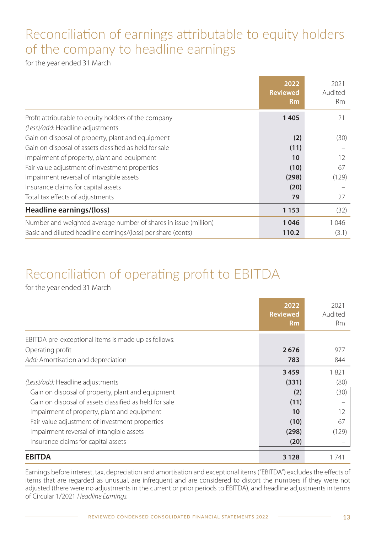## Reconciliation of earnings attributable to equity holders of the company to headline earnings

for the year ended 31 March

|                                                                 | 2022<br><b>Reviewed</b><br><b>Rm</b> | 2021<br>Audited<br><b>Rm</b> |
|-----------------------------------------------------------------|--------------------------------------|------------------------------|
| Profit attributable to equity holders of the company            | 1405                                 | 21                           |
| (Less)/add: Headline adjustments                                |                                      |                              |
| Gain on disposal of property, plant and equipment               | (2)                                  | (30)                         |
| Gain on disposal of assets classified as held for sale          | (11)                                 |                              |
| Impairment of property, plant and equipment                     | 10                                   | 12                           |
| Fair value adjustment of investment properties                  | (10)                                 | 67                           |
| Impairment reversal of intangible assets                        | (298)                                | (129)                        |
| Insurance claims for capital assets                             | (20)                                 |                              |
| Total tax effects of adjustments                                | 79                                   | 27                           |
| Headline earnings/(loss)                                        | 1153                                 | (32)                         |
| Number and weighted average number of shares in issue (million) | 1046                                 | 1046                         |
| Basic and diluted headline earnings/(loss) per share (cents)    | 110.2                                | (3.1)                        |

## Reconciliation of operating profit to EBITDA

for the year ended 31 March

|                                                        | 2022<br><b>Reviewed</b><br><b>Rm</b> | 2021<br>Audited<br>Rm |
|--------------------------------------------------------|--------------------------------------|-----------------------|
| EBITDA pre-exceptional items is made up as follows:    |                                      |                       |
| Operating profit                                       | 2676                                 | 977                   |
| Add: Amortisation and depreciation                     | 783                                  | 844                   |
|                                                        | 3459                                 | 1821                  |
| (Less)/add: Headline adjustments                       | (331)                                | (80)                  |
| Gain on disposal of property, plant and equipment      | (2)                                  | (30)                  |
| Gain on disposal of assets classified as held for sale | (11)                                 |                       |
| Impairment of property, plant and equipment            | 10                                   | 12                    |
| Fair value adjustment of investment properties         | (10)                                 | 67                    |
| Impairment reversal of intangible assets               | (298)                                | (129)                 |
| Insurance claims for capital assets                    | (20)                                 |                       |
| <b>EBITDA</b>                                          | 3 1 2 8                              | 1741                  |

Earnings before interest, tax, depreciation and amortisation and exceptional items ("EBITDA") excludes the effects of items that are regarded as unusual, are infrequent and are considered to distort the numbers if they were not adjusted (there were no adjustments in the current or prior periods to EBITDA), and headline adjustments in terms of Circular 1/2021 Headline Earnings.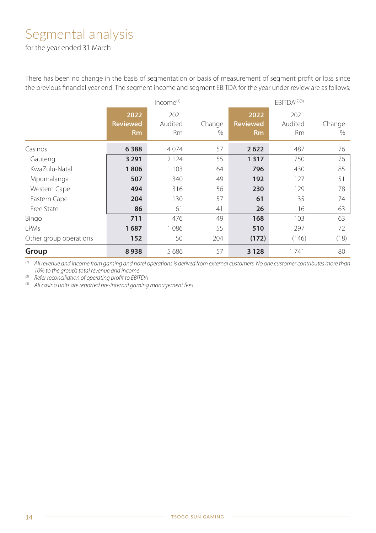## Segmental analysis

for the year ended 31 March

There has been no change in the basis of segmentation or basis of measurement of segment profit or loss since the previous financial year end. The segment income and segment EBITDA for the year under review are as follows:

|                        |                                      | Income <sup>(1)</sup> |             | EBITDA <sup>(2)(3)</sup>             |                       |                |  |
|------------------------|--------------------------------------|-----------------------|-------------|--------------------------------------|-----------------------|----------------|--|
|                        | 2022<br><b>Reviewed</b><br><b>Rm</b> | 2021<br>Audited<br>Rm | Change<br>% | 2022<br><b>Reviewed</b><br><b>Rm</b> | 2021<br>Audited<br>Rm | Change<br>$\%$ |  |
| Casinos                | 6388                                 | 4074                  | 57          | 2622                                 | 1487                  | 76             |  |
| Gauteng                | 3 2 9 1                              | 2 1 2 4               | 55          | 1317                                 | 750                   | 76             |  |
| KwaZulu-Natal          | 1806                                 | 1 1 0 3               | 64          | 796                                  | 430                   | 85             |  |
| Mpumalanga             | 507                                  | 340                   | 49          | 192                                  | 127                   | 51             |  |
| Western Cape           | 494                                  | 316                   | 56          | 230                                  | 129                   | 78             |  |
| Eastern Cape           | 204                                  | 130                   | 57          | 61                                   | 35                    | 74             |  |
| Free State             | 86                                   | 61                    | 41          | 26                                   | 16                    | 63             |  |
| Bingo                  | 711                                  | 476                   | 49          | 168                                  | 103                   | 63             |  |
| LPMs                   | 1687                                 | 1086                  | 55          | 510                                  | 297                   | 72             |  |
| Other group operations | 152                                  | 50                    | 204         | (172)                                | (146)                 | (18)           |  |
| Group                  | 8938                                 | 5686                  | 57          | 3 1 2 8                              | 1741                  | 80             |  |

(1) All revenue and income from gaming and hotel operations is derived from external customers. No one customer contributes more than 10% to the group's total revenue and income

(2) Refer reconciliation of operating profit to EBITDA

(3) All casino units are reported pre-internal gaming management fees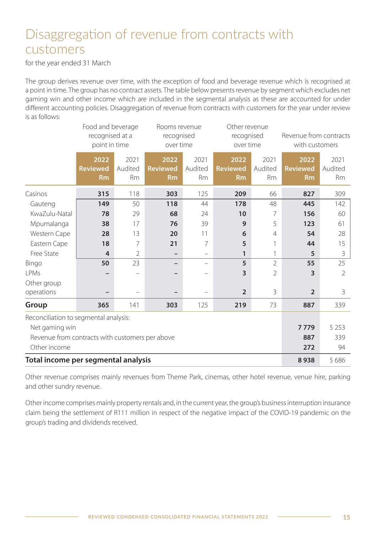## Disaggregation of revenue from contracts with customers

for the year ended 31 March

The group derives revenue over time, with the exception of food and beverage revenue which is recognised at a point in time. The group has no contract assets. The table below presents revenue by segment which excludes net gaming win and other income which are included in the segmental analysis as these are accounted for under different accounting policies. Disaggregation of revenue from contracts with customers for the year under review is as follows:

|                                                 | Food and beverage<br>recognised at a<br>point in time |                              | Rooms revenue<br>recognised<br>over time |                              |                                      | Other revenue<br>recognised<br>over time |                                      | Revenue from contracts<br>with customers |
|-------------------------------------------------|-------------------------------------------------------|------------------------------|------------------------------------------|------------------------------|--------------------------------------|------------------------------------------|--------------------------------------|------------------------------------------|
|                                                 | 2022<br><b>Reviewed</b><br><b>Rm</b>                  | 2021<br>Audited<br><b>Rm</b> | 2022<br><b>Reviewed</b><br><b>Rm</b>     | 2021<br>Audited<br><b>Rm</b> | 2022<br><b>Reviewed</b><br><b>Rm</b> | 2021<br>Audited<br><b>Rm</b>             | 2022<br><b>Reviewed</b><br><b>Rm</b> | 2021<br>Audited<br><b>Rm</b>             |
| Casinos                                         | 315                                                   | 118                          | 303                                      | 125                          | 209                                  | 66                                       | 827                                  | 309                                      |
| Gauteng                                         | 149                                                   | 50                           | 118                                      | 44                           | 178                                  | 48                                       | 445                                  | 142                                      |
| KwaZulu-Natal                                   | 78                                                    | 29                           | 68                                       | 24                           | 10                                   | 7                                        | 156                                  | 60                                       |
| Mpumalanga                                      | 38                                                    | 17                           | 76                                       | 39                           | 9                                    | 5                                        | 123                                  | 61                                       |
| Western Cape                                    | 28                                                    | 13                           | 20                                       | 11                           | 6                                    | $\overline{4}$                           | 54                                   | 28                                       |
| Eastern Cape                                    | 18                                                    | 7                            | 21                                       | 7                            | 5                                    |                                          | 44                                   | 15                                       |
| Free State                                      | 4                                                     | $\overline{2}$               |                                          | -                            | 1                                    |                                          | 5                                    | 3                                        |
| Bingo                                           | 50                                                    | 23                           | $\overline{\phantom{0}}$                 | $\equiv$                     | 5                                    | $\mathfrak{D}$                           | 55                                   | 25                                       |
| I PMs                                           |                                                       |                              |                                          |                              | 3                                    | $\overline{2}$                           | 3                                    | 2                                        |
| Other group                                     |                                                       |                              |                                          |                              |                                      |                                          |                                      |                                          |
| operations                                      |                                                       |                              |                                          |                              | $\overline{2}$                       | 3                                        | $\overline{2}$                       | 3                                        |
| Group                                           | 365                                                   | 141                          | 303                                      | 125                          | 219                                  | 73                                       | 887                                  | 339                                      |
| Reconciliation to segmental analysis:           |                                                       |                              |                                          |                              |                                      |                                          |                                      |                                          |
| Net gaming win                                  |                                                       |                              |                                          |                              |                                      | 7779                                     | 5 2 5 3                              |                                          |
| Revenue from contracts with customers per above |                                                       |                              |                                          |                              |                                      |                                          | 887                                  | 339                                      |
| Other income                                    |                                                       |                              |                                          |                              |                                      |                                          | 272                                  | 94                                       |
| Total income per segmental analysis             |                                                       |                              |                                          |                              |                                      | 8938                                     | 5 686                                |                                          |

 Other revenue comprises mainly revenues from Theme Park, cinemas, other hotel revenue, venue hire, parking and other sundry revenue.

Other income comprises mainly property rentals and, in the current year, the group's business interruption insurance claim being the settlement of R111 million in respect of the negative impact of the COVID-19 pandemic on the group's trading and dividends received.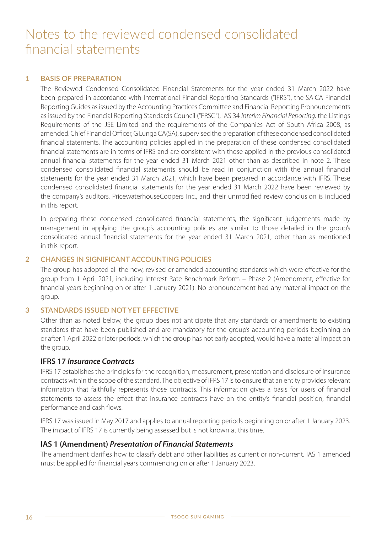#### **1 BASIS OF PREPARATION**

The Reviewed Condensed Consolidated Financial Statements for the year ended 31 March 2022 have been prepared in accordance with International Financial Reporting Standards ("IFRS"), the SAICA Financial Reporting Guides as issued by the Accounting Practices Committee and Financial Reporting Pronouncements as issued by the Financial Reporting Standards Council ("FRSC"), IAS 34 Interim Financial Reporting, the Listings Requirements of the JSE Limited and the requirements of the Companies Act of South Africa 2008, as amended. Chief Financial Officer, G Lunga CA(SA), supervised the preparation of these condensed consolidated financial statements. The accounting policies applied in the preparation of these condensed consolidated financial statements are in terms of IFRS and are consistent with those applied in the previous consolidated annual financial statements for the year ended 31 March 2021 other than as described in note 2. These condensed consolidated financial statements should be read in conjunction with the annual financial statements for the year ended 31 March 2021, which have been prepared in accordance with IFRS. These condensed consolidated financial statements for the year ended 31 March 2022 have been reviewed by the company's auditors, PricewaterhouseCoopers Inc., and their unmodified review conclusion is included in this report.

In preparing these condensed consolidated financial statements, the significant judgements made by management in applying the group's accounting policies are similar to those detailed in the group's consolidated annual financial statements for the year ended 31 March 2021, other than as mentioned in this report.

### **2 CHANGES IN SIGNIFICANT ACCOUNTING POLICIES**

The group has adopted all the new, revised or amended accounting standards which were effective for the group from 1 April 2021, including Interest Rate Benchmark Reform – Phase 2 (Amendment, effective for financial years beginning on or after 1 January 2021). No pronouncement had any material impact on the group.

#### **3 STANDARDS ISSUED NOT YET EFFECTIVE**

Other than as noted below, the group does not anticipate that any standards or amendments to existing standards that have been published and are mandatory for the group's accounting periods beginning on or after 1 April 2022 or later periods, which the group has not early adopted, would have a material impact on the group.

### **IFRS 17 Insurance Contracts**

IFRS 17 establishes the principles for the recognition, measurement, presentation and disclosure of insurance contracts within the scope of the standard. The objective of IFRS 17 is to ensure that an entity provides relevant information that faithfully represents those contracts. This information gives a basis for users of financial statements to assess the effect that insurance contracts have on the entity's financial position, financial performance and cash flows.

IFRS 17 was issued in May 2017 and applies to annual reporting periods beginning on or after 1 January 2023. The impact of IFRS 17 is currently being assessed but is not known at this time.

#### **IAS 1 (Amendment) Presentation of Financial Statements**

The amendment clarifies how to classify debt and other liabilities as current or non-current. IAS 1 amended must be applied for financial years commencing on or after 1 January 2023.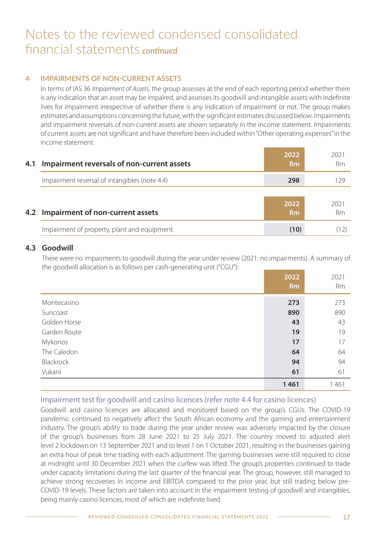### **4 IMPAIRMENTS OF NON-CURRENT ASSETS**

In terms of IAS 36 *Impairment of Assets*, the group assesses at the end of each reporting period whether there is any indication that an asset may be impaired, and assesses its goodwill and intangible assets with indefinite lives for impairment irrespective of whether there is any indication of impairment or not. The group makes estimates and assumptions concerning the future, with the significant estimates discussed below. Impairments and impairment reversals of non-current assets are shown separately in the income statement. Impairments of current assets are not significant and have therefore been included within "Other operating expenses" in the income statement.

| 4.1 | Impairment reversals of non-current assets    | 2022<br>R <sub>m</sub> | 2021<br>Rm |
|-----|-----------------------------------------------|------------------------|------------|
|     | Impairment reversal of intangibles (note 4.4) | 298                    | 129        |
|     | 4.2 Impairment of non-current assets          | 2022<br>R <sub>m</sub> | 2021<br>Rm |
|     | Impairment of property, plant and equipment   | (10)                   |            |

### **4.3 Goodwill**

There were no impairments to goodwill during the year under review (2021: no impairments). A summary of the goodwill allocation is as follows per cash-generating unit ("CGU"):

|                  | 2022<br>R <sub>m</sub> | 2021<br><b>Rm</b> |
|------------------|------------------------|-------------------|
| Montecasino      | 273                    | 273               |
| Suncoast         | 890                    | 890               |
| Golden Horse     | 43                     | 43                |
| Garden Route     | 19                     | 19                |
| Mykonos          | 17                     | 17                |
| The Caledon      | 64                     | 64                |
| <b>Blackrock</b> | 94                     | 94                |
| Vukani           | 61                     | 61                |
|                  | 1461                   | 1461              |

### Impairment test for goodwill and casino licences (refer note 4.4 for casino licences)

Goodwill and casino licences are allocated and monitored based on the group's CGUs. The COVID-19 pandemic continued to negatively affect the South African economy and the gaming and entertainment industry. The group's ability to trade during the year under review was adversely impacted by the closure of the group's businesses from 28 June 2021 to 25 July 2021. The country moved to adjusted alert level 2 lockdown on 13 September 2021 and to level 1 on 1 October 2021, resulting in the businesses gaining an extra hour of peak time trading with each adjustment. The gaming businesses were still required to close at midnight until 30 December 2021 when the curfew was lifted. The group's properties continued to trade under capacity limitations during the last quarter of the financial year. The group, however, still managed to achieve strong recoveries in income and EBITDA compared to the prior year, but still trading below pre-COVID-19 levels. These factors are taken into account in the impairment testing of goodwill and intangibles, being mainly casino licences, most of which are indefinite lived.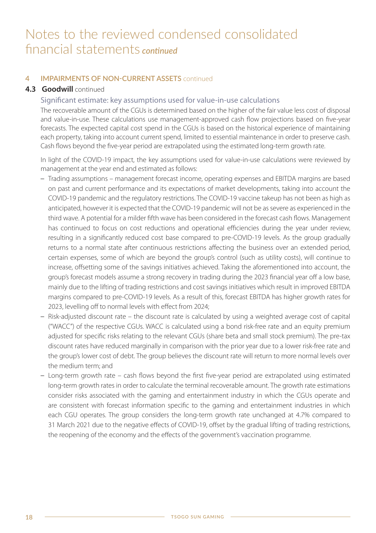### **4 IMPAIRMENTS OF NON-CURRENT ASSETS** continued

## **4.3 Goodwill continued**

#### Significant estimate: key assumptions used for value-in-use calculations

The recoverable amount of the CGUs is determined based on the higher of the fair value less cost of disposal and value-in-use. These calculations use management-approved cash flow projections based on five-year forecasts. The expected capital cost spend in the CGUs is based on the historical experience of maintaining each property, taking into account current spend, limited to essential maintenance in order to preserve cash. Cash flows beyond the five-year period are extrapolated using the estimated long-term growth rate.

In light of the COVID-19 impact, the key assumptions used for value-in-use calculations were reviewed by management at the year end and estimated as follows:

- Trading assumptions management forecast income, operating expenses and EBITDA margins are based on past and current performance and its expectations of market developments, taking into account the COVID-19 pandemic and the regulatory restrictions. The COVID-19 vaccine takeup has not been as high as anticipated, however it is expected that the COVID-19 pandemic will not be as severe as experienced in the third wave. A potential for a milder fifth wave has been considered in the forecast cash flows. Management has continued to focus on cost reductions and operational efficiencies during the year under review, resulting in a significantly reduced cost base compared to pre-COVID-19 levels. As the group gradually returns to a normal state after continuous restrictions affecting the business over an extended period, certain expenses, some of which are beyond the group's control (such as utility costs), will continue to increase, offsetting some of the savings initiatives achieved. Taking the aforementioned into account, the group's forecast models assume a strong recovery in trading during the 2023 financial year off a low base, mainly due to the lifting of trading restrictions and cost savings initiatives which result in improved EBITDA margins compared to pre-COVID-19 levels. As a result of this, forecast EBITDA has higher growth rates for 2023, levelling off to normal levels with effect from 2024;
- Risk-adjusted discount rate the discount rate is calculated by using a weighted average cost of capital ("WACC") of the respective CGUs. WACC is calculated using a bond risk-free rate and an equity premium adjusted for specific risks relating to the relevant CGUs (share beta and small stock premium). The pre-tax discount rates have reduced marginally in comparison with the prior year due to a lower risk-free rate and the group's lower cost of debt. The group believes the discount rate will return to more normal levels over the medium term; and
- Long-term growth rate cash flows beyond the first five-year period are extrapolated using estimated long-term growth rates in order to calculate the terminal recoverable amount. The growth rate estimations consider risks associated with the gaming and entertainment industry in which the CGUs operate and are consistent with forecast information specific to the gaming and entertainment industries in which each CGU operates. The group considers the long-term growth rate unchanged at 4.7% compared to 31 March 2021 due to the negative effects of COVID-19, offset by the gradual lifting of trading restrictions, the reopening of the economy and the effects of the government's vaccination programme.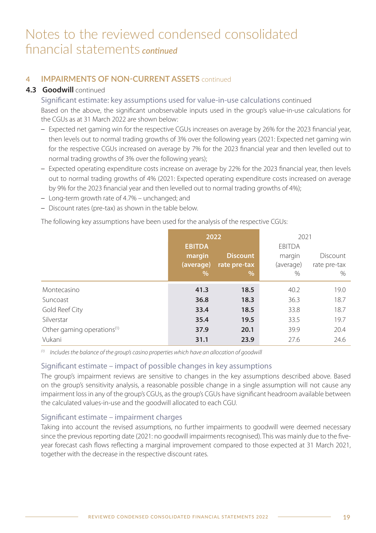## **4 IMPAIRMENTS OF NON-CURRENT ASSETS** continued

## **4.3 Goodwill continued**

Significant estimate: key assumptions used for value-in-use calculations continued Based on the above, the significant unobservable inputs used in the group's value-in-use calculations for the CGUs as at 31 March 2022 are shown below:

- Expected net gaming win for the respective CGUs increases on average by 26% for the 2023 financial year, then levels out to normal trading growths of 3% over the following years (2021: Expected net gaming win for the respective CGUs increased on average by 7% for the 2023 financial year and then levelled out to normal trading growths of 3% over the following years);
- Expected operating expenditure costs increase on average by 22% for the 2023 financial year, then levels out to normal trading growths of 4% (2021: Expected operating expenditure costs increased on average by 9% for the 2023 financial year and then levelled out to normal trading growths of 4%);
- Long-term growth rate of 4.7% unchanged; and
- Discount rates (pre-tax) as shown in the table below.

The following key assumptions have been used for the analysis of the respective CGUs:

|                                        | 2022          |                 | 2021          |              |
|----------------------------------------|---------------|-----------------|---------------|--------------|
|                                        | <b>EBITDA</b> |                 | <b>EBITDA</b> |              |
|                                        | margin        | <b>Discount</b> | margin        | Discount     |
|                                        | (average)     | rate pre-tax    | (average)     | rate pre-tax |
|                                        | $\%$          | $\frac{9}{6}$   | $\%$          | $\%$         |
| Montecasino                            | 41.3          | 18.5            | 40.2          | 19.0         |
| Suncoast                               | 36.8          | 18.3            | 36.3          | 18.7         |
| Gold Reef City                         | 33.4          | 18.5            | 33.8          | 18.7         |
| Silverstar                             | 35.4          | 19.5            | 33.5          | 19.7         |
| Other gaming operations <sup>(1)</sup> | 37.9          | 20.1            | 39.9          | 20.4         |
| Vukani                                 | 31.1          | 23.9            | 27.6          | 24.6         |

 $(1)$  Includes the balance of the group's casino properties which have an allocation of goodwill

### Significant estimate – impact of possible changes in key assumptions

The group's impairment reviews are sensitive to changes in the key assumptions described above. Based on the group's sensitivity analysis, a reasonable possible change in a single assumption will not cause any impairment loss in any of the group's CGUs, as the group's CGUs have significant headroom available between the calculated values-in-use and the goodwill allocated to each CGU.

### Significant estimate – impairment charges

Taking into account the revised assumptions, no further impairments to goodwill were deemed necessary since the previous reporting date (2021: no goodwill impairments recognised). This was mainly due to the fiveyear forecast cash flows reflecting a marginal improvement compared to those expected at 31 March 2021, together with the decrease in the respective discount rates.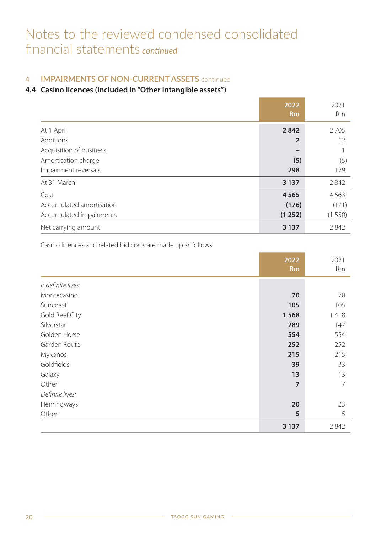## **4 IMPAIRMENTS OF NON-CURRENT ASSETS** continued

## **4.4 Casino licences (included in "Other intangible assets")**

|                          | 2022<br>Rm     | 2021<br><b>Rm</b> |
|--------------------------|----------------|-------------------|
| At 1 April               | 2842           | 2 7 0 5           |
| Additions                | $\overline{2}$ | 12                |
| Acquisition of business  | —              |                   |
| Amortisation charge      | (5)            | (5)               |
| Impairment reversals     | 298            | 129               |
| At 31 March              | 3 1 3 7        | 2842              |
| Cost                     | 4565           | 4563              |
| Accumulated amortisation | (176)          | (171)             |
| Accumulated impairments  | (1252)         | (1550)            |
| Net carrying amount      | 3 1 3 7        | 2842              |

Casino licences and related bid costs are made up as follows:

|                   | $20\overline{22}$<br><b>Rm</b> | 2021<br>Rm |
|-------------------|--------------------------------|------------|
| Indefinite lives: |                                |            |
| Montecasino       | 70                             | 70         |
| Suncoast          | 105                            | 105        |
| Gold Reef City    | 1568                           | 1418       |
| Silverstar        | 289                            | 147        |
| Golden Horse      | 554                            | 554        |
| Garden Route      | 252                            | 252        |
| Mykonos           | 215                            | 215        |
| Goldfields        | 39                             | 33         |
| Galaxy            | 13                             | 13         |
| Other             | $\overline{7}$                 | 7          |
| Definite lives:   |                                |            |
| Hemingways        | 20                             | 23         |
| Other             | 5                              | 5          |
|                   | 3 1 3 7                        | 2842       |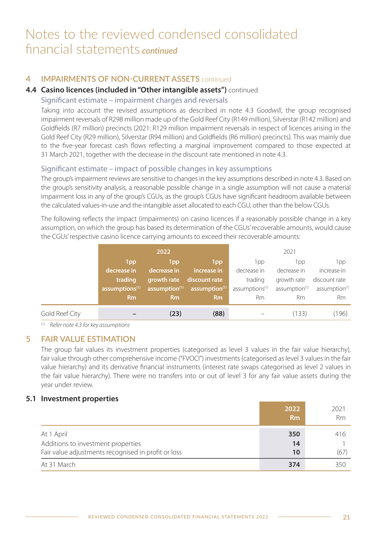## **4 IMPAIRMENTS OF NON-CURRENT ASSETS** continued

### **4.4 Casino licences (included in "Other intangible assets")** continued

### Significant estimate – impairment charges and reversals

Taking into account the revised assumptions as described in note 4.3 Goodwill, the group recognised impairment reversals of R298 million made up of the Gold Reef City (R149 million), Silverstar (R142 million) and Goldfields (R7 million) precincts (2021: R129 million impairment reversals in respect of licences arising in the Gold Reef City (R29 million), Silverstar (R94 million) and Goldfields (R6 million) precincts). This was mainly due to the five-year forecast cash flows reflecting a marginal improvement compared to those expected at 31 March 2021, together with the decrease in the discount rate mentioned in note 4.3.

### Significant estimate – impact of possible changes in key assumptions

The group's impairment reviews are sensitive to changes in the key assumptions described in note 4.3. Based on the group's sensitivity analysis, a reasonable possible change in a single assumption will not cause a material impairment loss in any of the group's CGUs, as the group's CGUs have significant headroom available between the calculated values-in-use and the intangible asset allocated to each CGU, other than the below CGUs.

The following reflects the impact (impairments) on casino licences if a reasonably possible change in a key assumption, on which the group has based its determination of the CGUs' recoverable amounts, would cause the CGUs' respective casino licence carrying amounts to exceed their recoverable amounts:

|                | 2022                       |                           | 2021                      |                            |                           |                           |
|----------------|----------------------------|---------------------------|---------------------------|----------------------------|---------------------------|---------------------------|
|                | 1 <sub>pp</sub>            | 1 <sub>pp</sub>           | 1pp                       | 1pp                        | 1pp                       | 1pp                       |
|                | decrease in                | decrease in               | increase in               | decrease in                | decrease in               | increase in               |
|                | trading                    | growth rate               | discount rate             | trading                    | growth rate               | discount rate             |
|                | assumptions <sup>(1)</sup> | assumption <sup>(1)</sup> | assumption <sup>(1)</sup> | assumptions <sup>(1)</sup> | assumption <sup>(1)</sup> | assumption <sup>(1)</sup> |
|                | <b>Rm</b>                  | <b>Rm</b>                 | Rm                        | Rm                         | Rm                        | Rm                        |
| Gold Reef City |                            | (23)                      | (88)                      |                            | (133)                     | (196)                     |

(1) Refer note 4.3 for key assumptions

## **5 FAIR VALUE ESTIMATION**

The group fair values its investment properties (categorised as level 3 values in the fair value hierarchy), fair value through other comprehensive income ("FVOCI") investments (categorised as level 3 values in the fair value hierarchy) and its derivative financial instruments (interest rate swaps categorised as level 2 values in the fair value hierarchy). There were no transfers into or out of level 3 for any fair value assets during the year under review.

### **5.1 Investment properties**

|                                                     | 2022<br>Rm | 2021<br>Rm |
|-----------------------------------------------------|------------|------------|
| At 1 April                                          | 350        | 416        |
| Additions to investment properties                  | 14         |            |
| Fair value adjustments recognised in profit or loss | 10         | (67)       |
| At 31 March                                         | 374        | 350        |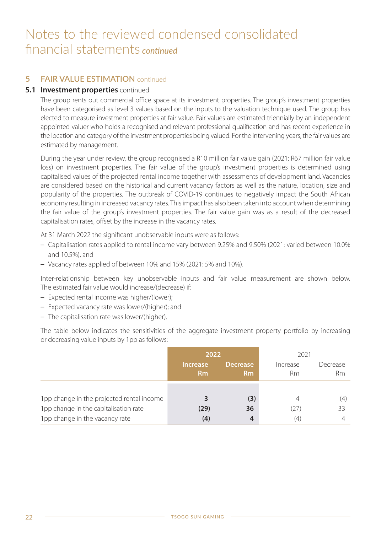## **5 FAIR VALUE ESTIMATION** continued

### **5.1 Investment properties** continued

The group rents out commercial office space at its investment properties. The group's investment properties have been categorised as level 3 values based on the inputs to the valuation technique used. The group has elected to measure investment properties at fair value. Fair values are estimated triennially by an independent appointed valuer who holds a recognised and relevant professional qualification and has recent experience in the location and category of the investment properties being valued. For the intervening years, the fair values are estimated by management.

During the year under review, the group recognised a R10 million fair value gain (2021: R67 million fair value loss) on investment properties. The fair value of the group's investment properties is determined using capitalised values of the projected rental income together with assessments of development land. Vacancies are considered based on the historical and current vacancy factors as well as the nature, location, size and popularity of the properties. The outbreak of COVID-19 continues to negatively impact the South African economy resulting in increased vacancy rates. This impact has also been taken into account when determining the fair value of the group's investment properties. The fair value gain was as a result of the decreased capitalisation rates, offset by the increase in the vacancy rates.

At 31 March 2022 the significant unobservable inputs were as follows:

- Capitalisation rates applied to rental income vary between 9.25% and 9.50% (2021: varied between 10.0% and 10.5%), and
- Vacancy rates applied of between 10% and 15% (2021: 5% and 10%).

Inter-relationship between key unobservable inputs and fair value measurement are shown below. The estimated fair value would increase/(decrease) if:

- Expected rental income was higher/(lower);
- Expected vacancy rate was lower/(higher); and
- The capitalisation rate was lower/(higher).

The table below indicates the sensitivities of the aggregate investment property portfolio by increasing or decreasing value inputs by 1pp as follows:

|                                           | 2022                  |                                   | 2021           |                |
|-------------------------------------------|-----------------------|-----------------------------------|----------------|----------------|
|                                           | <b>Increase</b><br>Rm | <b>Decrease</b><br>R <sub>m</sub> | Increase<br>Rm | Decrease<br>Rm |
|                                           |                       |                                   |                |                |
| 1pp change in the projected rental income |                       | (3)                               | 4              | (4)            |
| 1pp change in the capitalisation rate     | (29)                  | 36                                | (27)           | 33             |
| 1pp change in the vacancy rate            | (4)                   | 4                                 | (4)            |                |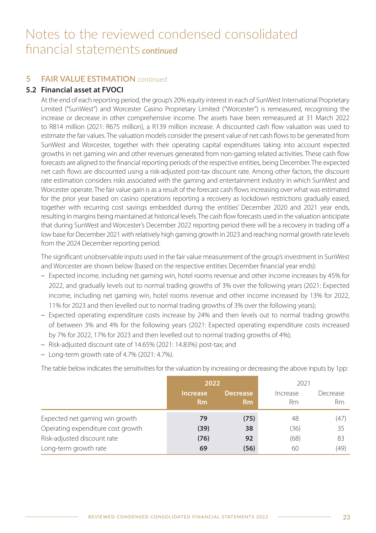## **5 FAIR VALUE ESTIMATION** continued

### **5.2 Financial asset at FVOCI**

At the end of each reporting period, the group's 20% equity interest in each of SunWest International Proprietary Limited ("SunWest") and Worcester Casino Proprietary Limited ("Worcester") is remeasured, recognising the increase or decrease in other comprehensive income. The assets have been remeasured at 31 March 2022 to R814 million (2021: R675 million), a R139 million increase. A discounted cash flow valuation was used to estimate the fair values. The valuation models consider the present value of net cash flows to be generated from SunWest and Worcester, together with their operating capital expenditures taking into account expected growths in net gaming win and other revenues generated from non-gaming related activities. These cash flow forecasts are aligned to the financial reporting periods of the respective entities, being December. The expected net cash flows are discounted using a risk-adjusted post-tax discount rate. Among other factors, the discount rate estimation considers risks associated with the gaming and entertainment industry in which SunWest and Worcester operate. The fair value gain is as a result of the forecast cash flows increasing over what was estimated for the prior year based on casino operations reporting a recovery as lockdown restrictions gradually eased, together with recurring cost savings embedded during the entities' December 2020 and 2021 year ends, resulting in margins being maintained at historical levels. The cash flow forecasts used in the valuation anticipate that during SunWest and Worcester's December 2022 reporting period there will be a recovery in trading off a low base for December 2021 with relatively high gaming growth in 2023 and reaching normal growth rate levels from the 2024 December reporting period.

The significant unobservable inputs used in the fair value measurement of the group's investment in SunWest and Worcester are shown below (based on the respective entities December financial year ends):

- Expected income, including net gaming win, hotel rooms revenue and other income increases by 45% for 2022, and gradually levels out to normal trading growths of 3% over the following years (2021: Expected income, including net gaming win, hotel rooms revenue and other income increased by 13% for 2022, 11% for 2023 and then levelled out to normal trading growths of 3% over the following years);
- Expected operating expenditure costs increase by 24% and then levels out to normal trading growths of between 3% and 4% for the following years (2021: Expected operating expenditure costs increased by 7% for 2022, 17% for 2023 and then levelled out to normal trading growths of 4%):
- Risk-adjusted discount rate of 14.65% (2021: 14.83%) post-tax; and
- Long-term growth rate of 4.7% (2021: 4.7%).

The table below indicates the sensitivities for the valuation by increasing or decreasing the above inputs by 1pp:

|                                   | 2022                         |                                   | 2021                  |                |
|-----------------------------------|------------------------------|-----------------------------------|-----------------------|----------------|
|                                   | <b>Increase</b><br><b>Rm</b> | <b>Decrease</b><br>R <sub>m</sub> | Increase<br><b>Rm</b> | Decrease<br>Rm |
| Expected net gaming win growth    | 79                           | (75)                              | 48                    | (47)           |
| Operating expenditure cost growth | (39)                         | 38                                | (36)                  | 35             |
| Risk-adjusted discount rate       | (76)                         | 92                                | (68)                  | 83             |
| Long-term growth rate             | 69                           | (56)                              | 60                    | (49)           |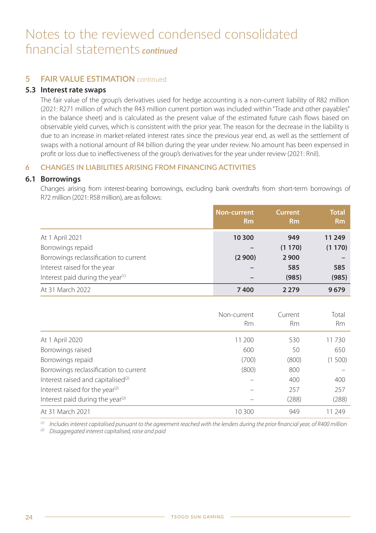## **5 FAIR VALUE ESTIMATION** continued

### **5.3 Interest rate swaps**

The fair value of the group's derivatives used for hedge accounting is a non-current liability of R82 million (2021: R271 million of which the R43 million current portion was included within "Trade and other payables" in the balance sheet) and is calculated as the present value of the estimated future cash flows based on observable yield curves, which is consistent with the prior year. The reason for the decrease in the liability is due to an increase in market-related interest rates since the previous year end, as well as the settlement of swaps with a notional amount of R4 billion during the year under review. No amount has been expensed in profit or loss due to ineffectiveness of the group's derivatives for the year under review (2021: Rnil).

### **6 CHANGES IN LIABILITIES ARISING FROM FINANCING ACTIVITIES**

#### **6.1 Borrowings**

Changes arising from interest-bearing borrowings, excluding bank overdrafts from short-term borrowings of R72 million (2021: R58 million), are as follows:

|                                              | <b>Non-current</b><br><b>Rm</b> | Current<br><b>Rm</b> | <b>Total</b><br><b>Rm</b> |
|----------------------------------------------|---------------------------------|----------------------|---------------------------|
| At 1 April 2021                              | 10 300                          | 949                  | 11 249                    |
| Borrowings repaid                            |                                 | (1170)               | (1170)                    |
| Borrowings reclassification to current       | (2900)                          | 2900                 |                           |
| Interest raised for the year                 |                                 | 585                  | 585                       |
| Interest paid during the year <sup>(1)</sup> |                                 | (985)                | (985)                     |
| At 31 March 2022                             | 7400                            | 2279                 | 9679                      |

|                                                | Non-current<br>Rm | Current<br>Rm | Total<br><b>Rm</b> |
|------------------------------------------------|-------------------|---------------|--------------------|
| At 1 April 2020                                | 11 200            | 530           | 11 730             |
| Borrowings raised                              | 600               | 50            | 650                |
| Borrowings repaid                              | (700)             | (800)         | (1500)             |
| Borrowings reclassification to current         | (800)             | 800           |                    |
| Interest raised and capitalised <sup>(2)</sup> |                   | 400           | 400                |
| Interest raised for the year <sup>(2)</sup>    |                   | 257           | 257                |
| Interest paid during the year <sup>(2)</sup>   |                   | (288)         | (288)              |
| At 31 March 2021                               | 10.300            | 949           | 11 249             |

 $^{(1)}$  Includes interest capitalised pursuant to the agreement reached with the lenders during the prior financial year, of R400 million

 $(2)$  Disaggregated interest capitalised, raise and paid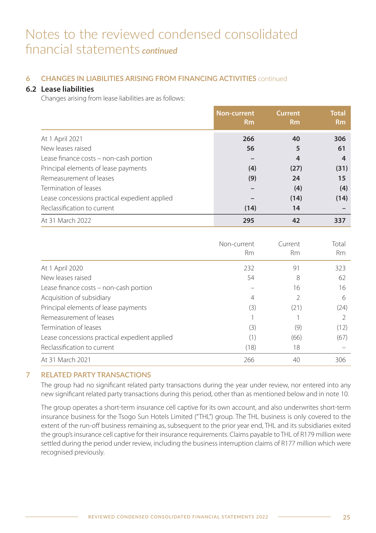### **6 CHANGES IN LIABILITIES ARISING FROM FINANCING ACTIVITIES** continued

### **6.2 Lease liabilities**

Changes arising from lease liabilities are as follows:

|                                               | <b>Non-current</b><br><b>Rm</b> | <b>Current</b><br><b>Rm</b> | <b>Total</b><br><b>Rm</b> |
|-----------------------------------------------|---------------------------------|-----------------------------|---------------------------|
| At 1 April 2021                               | 266                             | 40                          | 306                       |
| New leases raised                             | 56                              | 5                           | 61                        |
| Lease finance costs - non-cash portion        |                                 | $\overline{4}$              | 4                         |
| Principal elements of lease payments          | (4)                             | (27)                        | (31)                      |
| Remeasurement of leases                       | (9)                             | 24                          | 15                        |
| Termination of leases                         |                                 | (4)                         | (4)                       |
| Lease concessions practical expedient applied |                                 | (14)                        | (14)                      |
| Reclassification to current                   | (14)                            | 14                          |                           |
| At 31 March 2022                              | 295                             | 42                          | 337                       |

|                                               | Non-current<br><b>Rm</b> | Current<br><b>Rm</b> | Total<br><b>Rm</b> |
|-----------------------------------------------|--------------------------|----------------------|--------------------|
| At 1 April 2020                               | 232                      | 91                   | 323                |
| New leases raised                             | 54                       | 8                    | 62                 |
| Lease finance costs - non-cash portion        |                          | 16                   | 16                 |
| Acquisition of subsidiary                     | 4                        | $\mathfrak{D}$       | 6                  |
| Principal elements of lease payments          | (3)                      | (21)                 | (24)               |
| Remeasurement of leases                       |                          |                      |                    |
| Termination of leases                         | (3)                      | (9)                  | (12)               |
| Lease concessions practical expedient applied | (1)                      | (66)                 | (67)               |
| Reclassification to current                   | (18)                     | 18                   |                    |
| At 31 March 2021                              | 266                      | 40                   | 306                |

### **7 RELATED PARTY TRANSACTIONS**

The group had no significant related party transactions during the year under review, nor entered into any new significant related party transactions during this period, other than as mentioned below and in note 10.

The group operates a short-term insurance cell captive for its own account, and also underwrites short-term insurance business for the Tsogo Sun Hotels Limited ("THL") group. The THL business is only covered to the extent of the run-off business remaining as, subsequent to the prior year end, THL and its subsidiaries exited the group's insurance cell captive for their insurance requirements. Claims payable to THL of R179 million were settled during the period under review, including the business interruption claims of R177 million which were recognised previously.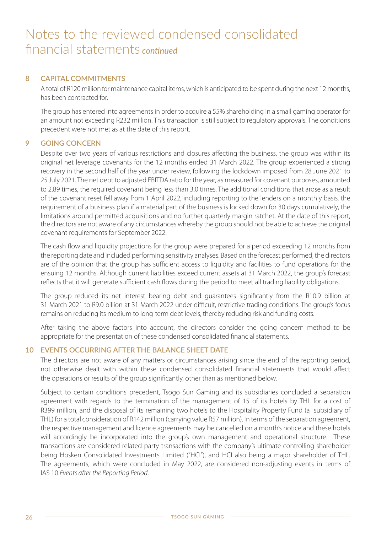#### **8 CAPITAL COMMITMENTS**

A total of R120 million for maintenance capital items, which is anticipated to be spent during the next 12 months, has been contracted for.

The group has entered into agreements in order to acquire a 55% shareholding in a small gaming operator for an amount not exceeding R232 million. This transaction is still subject to regulatory approvals. The conditions precedent were not met as at the date of this report.

#### **9 GOING CONCERN**

Despite over two years of various restrictions and closures affecting the business, the group was within its original net leverage covenants for the 12 months ended 31 March 2022. The group experienced a strong recovery in the second half of the year under review, following the lockdown imposed from 28 June 2021 to 25 July 2021. The net debt to adjusted EBITDA ratio for the year, as measured for covenant purposes, amounted to 2.89 times, the required covenant being less than 3.0 times. The additional conditions that arose as a result of the covenant reset fell away from 1 April 2022, including reporting to the lenders on a monthly basis, the requirement of a business plan if a material part of the business is locked down for 30 days cumulatively, the limitations around permitted acquisitions and no further quarterly margin ratchet. At the date of this report, the directors are not aware of any circumstances whereby the group should not be able to achieve the original covenant requirements for September 2022.

The cash flow and liquidity projections for the group were prepared for a period exceeding 12 months from the reporting date and included performing sensitivity analyses. Based on the forecast performed, the directors are of the opinion that the group has sufficient access to liquidity and facilities to fund operations for the ensuing 12 months. Although current liabilities exceed current assets at 31 March 2022, the group's forecast reflects that it will generate sufficient cash flows during the period to meet all trading liability obligations.

The group reduced its net interest bearing debt and guarantees significantly from the R10.9 billion at 31 March 2021 to R9.0 billion at 31 March 2022 under difficult, restrictive trading conditions. The group's focus remains on reducing its medium to long-term debt levels, thereby reducing risk and funding costs.

After taking the above factors into account, the directors consider the going concern method to be appropriate for the presentation of these condensed consolidated financial statements.

#### **10 EVENTS OCCURRING AFTER THE BALANCE SHEET DATE**

The directors are not aware of any matters or circumstances arising since the end of the reporting period, not otherwise dealt with within these condensed consolidated financial statements that would affect the operations or results of the group significantly, other than as mentioned below.

Subject to certain conditions precedent, Tsogo Sun Gaming and its subsidiaries concluded a separation agreement with regards to the termination of the management of 15 of its hotels by THL for a cost of R399 million, and the disposal of its remaining two hotels to the Hospitality Property Fund (a subsidiary of THL) for a total consideration of R142 million (carrying value R57 million). In terms of the separation agreement, the respective management and licence agreements may be cancelled on a month's notice and these hotels will accordingly be incorporated into the group's own management and operational structure. These transactions are considered related party transactions with the company's ultimate controlling shareholder being Hosken Consolidated Investments Limited ("HCI"), and HCI also being a major shareholder of THL. The agreements, which were concluded in May 2022, are considered non-adjusting events in terms of IAS 10 Events after the Reporting Period.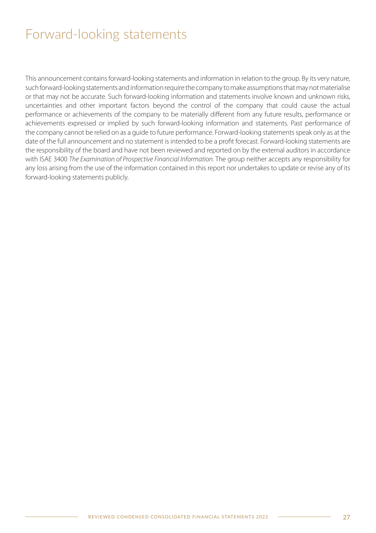## Forward-looking statements

This announcement contains forward-looking statements and information in relation to the group. By its very nature, such forward-looking statements and information require the company to make assumptions that may not materialise or that may not be accurate. Such forward-looking information and statements involve known and unknown risks, uncertainties and other important factors beyond the control of the company that could cause the actual performance or achievements of the company to be materially different from any future results, performance or achievements expressed or implied by such forward-looking information and statements. Past performance of the company cannot be relied on as a guide to future performance. Forward-looking statements speak only as at the date of the full announcement and no statement is intended to be a profit forecast. Forward-looking statements are the responsibility of the board and have not been reviewed and reported on by the external auditors in accordance with ISAE 3400 The Examination of Prospective Financial Information. The group neither accepts any responsibility for any loss arising from the use of the information contained in this report nor undertakes to update or revise any of its forward-looking statements publicly.